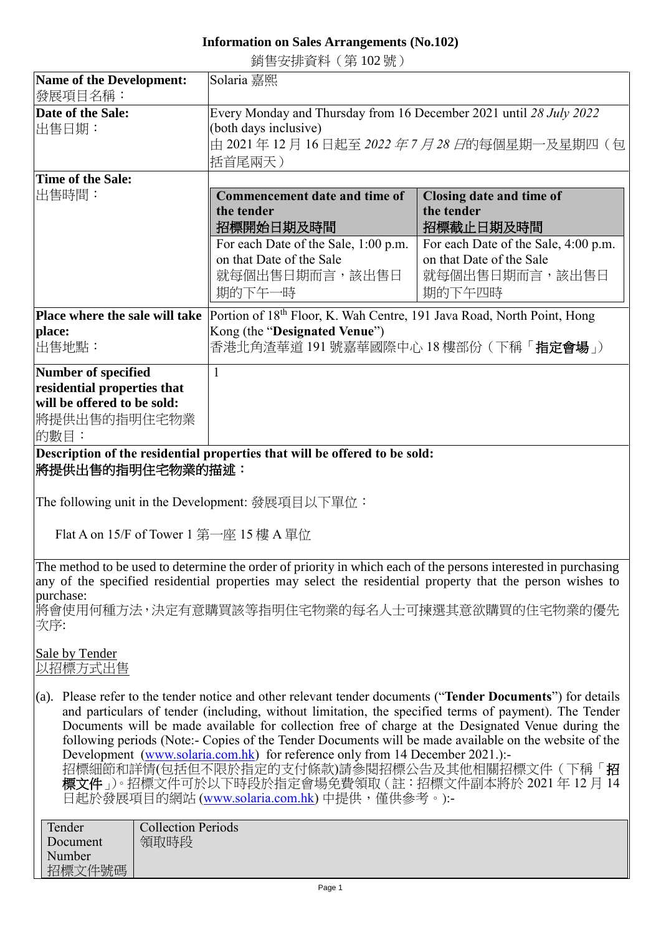## **Information on Sales Arrangements (No.102)**

銷售安排資料(第 102 號)

| Name of the Development:                                                                                                                                                                                                                                                                                                                                                                                                                                                                                                                                                                                                                                                  | Solaria 嘉熙                                                                                                                                                      |                                                                                                                                                     |  |
|---------------------------------------------------------------------------------------------------------------------------------------------------------------------------------------------------------------------------------------------------------------------------------------------------------------------------------------------------------------------------------------------------------------------------------------------------------------------------------------------------------------------------------------------------------------------------------------------------------------------------------------------------------------------------|-----------------------------------------------------------------------------------------------------------------------------------------------------------------|-----------------------------------------------------------------------------------------------------------------------------------------------------|--|
| 發展項目名稱:<br>Date of the Sale:<br>出售日期:                                                                                                                                                                                                                                                                                                                                                                                                                                                                                                                                                                                                                                     | Every Monday and Thursday from 16 December 2021 until 28 July 2022<br>(both days inclusive)<br>由 2021年 12月 16日起至 2022 年 7 月 28 日的每個星期一及星期四 (包<br>括首尾兩天)         |                                                                                                                                                     |  |
|                                                                                                                                                                                                                                                                                                                                                                                                                                                                                                                                                                                                                                                                           |                                                                                                                                                                 |                                                                                                                                                     |  |
| Time of the Sale:<br>出售時間:                                                                                                                                                                                                                                                                                                                                                                                                                                                                                                                                                                                                                                                | <b>Commencement date and time of</b><br>the tender<br>招標開始日期及時間<br>For each Date of the Sale, 1:00 p.m.<br>on that Date of the Sale<br>就每個出售日期而言,該出售日<br>期的下午一時 | Closing date and time of<br>the tender<br>招標截止日期及時間<br>For each Date of the Sale, 4:00 p.m.<br>on that Date of the Sale<br>就每個出售日期而言,該出售日<br>期的下午四時 |  |
| Place where the sale will take<br>place:<br>出售地點:                                                                                                                                                                                                                                                                                                                                                                                                                                                                                                                                                                                                                         | Portion of 18th Floor, K. Wah Centre, 191 Java Road, North Point, Hong<br>Kong (the "Designated Venue")<br>香港北角渣華道 191 號嘉華國際中心 18 樓部份 ( 下稱「 <b>指定會場</b> 」)      |                                                                                                                                                     |  |
| <b>Number of specified</b><br>residential properties that<br>will be offered to be sold:<br>將提供出售的指明住宅物業<br>的數目:                                                                                                                                                                                                                                                                                                                                                                                                                                                                                                                                                          | $\mathbf{1}$                                                                                                                                                    |                                                                                                                                                     |  |
| Description of the residential properties that will be offered to be sold:<br>將提供出售的指明住宅物業的描述:<br>The following unit in the Development: 發展項目以下單位:                                                                                                                                                                                                                                                                                                                                                                                                                                                                                                                        |                                                                                                                                                                 |                                                                                                                                                     |  |
| Flat A on 15/F of Tower 1 第一座 15 樓 A 單位                                                                                                                                                                                                                                                                                                                                                                                                                                                                                                                                                                                                                                   |                                                                                                                                                                 |                                                                                                                                                     |  |
| The method to be used to determine the order of priority in which each of the persons interested in purchasing<br>any of the specified residential properties may select the residential property that the person wishes to                                                                                                                                                                                                                                                                                                                                                                                                                                               |                                                                                                                                                                 |                                                                                                                                                     |  |
| purchase:<br>將會使用何種方法,決定有意購買該等指明住宅物業的每名人士可揀選其意欲購買的住宅物業的優先<br>次序:                                                                                                                                                                                                                                                                                                                                                                                                                                                                                                                                                                                                          |                                                                                                                                                                 |                                                                                                                                                     |  |
| Sale by Tender<br>以招標方式出售                                                                                                                                                                                                                                                                                                                                                                                                                                                                                                                                                                                                                                                 |                                                                                                                                                                 |                                                                                                                                                     |  |
| (a). Please refer to the tender notice and other relevant tender documents ("Tender Documents") for details<br>and particulars of tender (including, without limitation, the specified terms of payment). The Tender<br>Documents will be made available for collection free of charge at the Designated Venue during the<br>following periods (Note:- Copies of the Tender Documents will be made available on the website of the<br>Development (www.solaria.com.hk) for reference only from 14 December 2021.):-<br>招標細節和詳情(包括但不限於指定的支付條款)請參閱招標公告及其他相關招標文件(下稱「招<br>標文件」)。招標文件可於以下時段於指定會場免費領取(註:招標文件副本將於 2021 年 12 月 14<br>日起於發展項目的網站 (www.solaria.com.hk) 中提供,僅供參考。):- |                                                                                                                                                                 |                                                                                                                                                     |  |

| Tender   | <b>Collection Periods</b> |
|----------|---------------------------|
| Document | 領取時段                      |
| Number   |                           |
| 招標文件號碼   |                           |